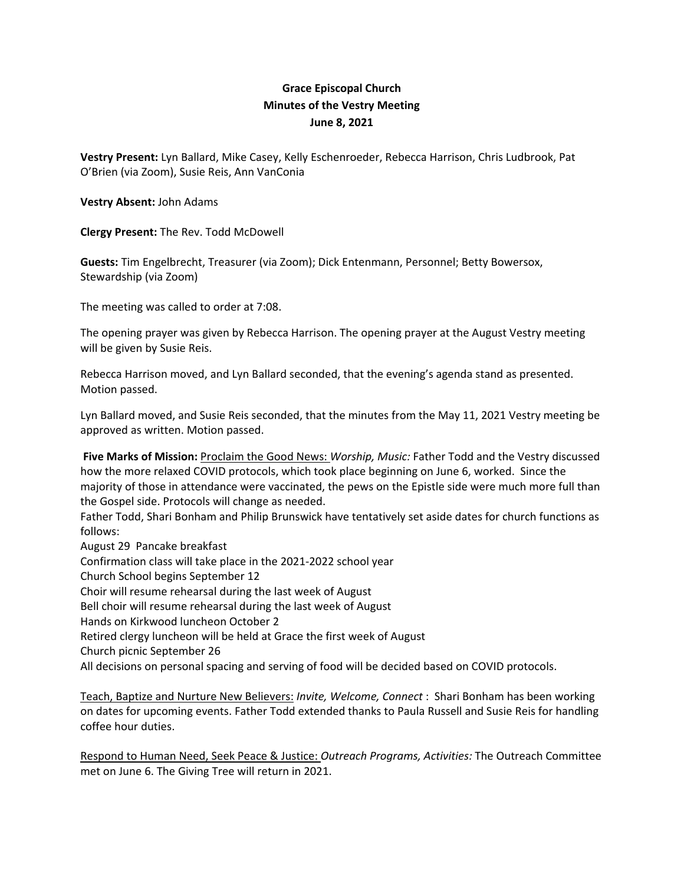## **Grace Episcopal Church Minutes of the Vestry Meeting June 8, 2021**

**Vestry Present:** Lyn Ballard, Mike Casey, Kelly Eschenroeder, Rebecca Harrison, Chris Ludbrook, Pat O'Brien (via Zoom), Susie Reis, Ann VanConia

**Vestry Absent:** John Adams

**Clergy Present:** The Rev. Todd McDowell

**Guests:** Tim Engelbrecht, Treasurer (via Zoom); Dick Entenmann, Personnel; Betty Bowersox, Stewardship (via Zoom)

The meeting was called to order at 7:08.

The opening prayer was given by Rebecca Harrison. The opening prayer at the August Vestry meeting will be given by Susie Reis.

Rebecca Harrison moved, and Lyn Ballard seconded, that the evening's agenda stand as presented. Motion passed.

Lyn Ballard moved, and Susie Reis seconded, that the minutes from the May 11, 2021 Vestry meeting be approved as written. Motion passed.

**Five Marks of Mission:** Proclaim the Good News: *Worship, Music:* Father Todd and the Vestry discussed how the more relaxed COVID protocols, which took place beginning on June 6, worked. Since the majority of those in attendance were vaccinated, the pews on the Epistle side were much more full than the Gospel side. Protocols will change as needed.

Father Todd, Shari Bonham and Philip Brunswick have tentatively set aside dates for church functions as follows:

August 29 Pancake breakfast

Confirmation class will take place in the 2021‐2022 school year

Church School begins September 12

Choir will resume rehearsal during the last week of August

Bell choir will resume rehearsal during the last week of August

Hands on Kirkwood luncheon October 2

Retired clergy luncheon will be held at Grace the first week of August

Church picnic September 26

All decisions on personal spacing and serving of food will be decided based on COVID protocols.

Teach, Baptize and Nurture New Believers: *Invite, Welcome, Connect* : Shari Bonham has been working on dates for upcoming events. Father Todd extended thanks to Paula Russell and Susie Reis for handling coffee hour duties.

Respond to Human Need, Seek Peace & Justice: *Outreach Programs, Activities:* The Outreach Committee met on June 6. The Giving Tree will return in 2021.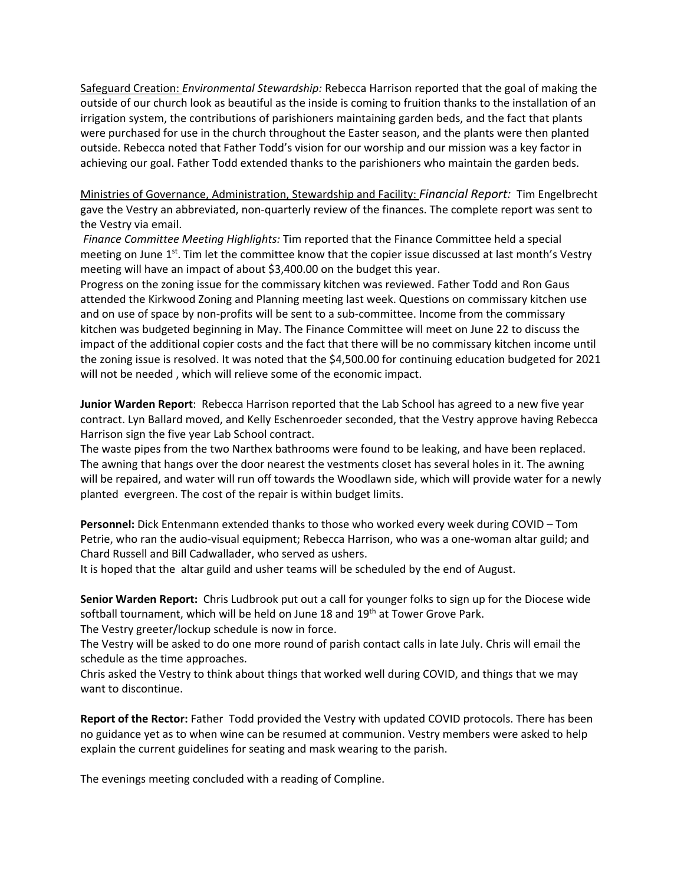Safeguard Creation: *Environmental Stewardship:* Rebecca Harrison reported that the goal of making the outside of our church look as beautiful as the inside is coming to fruition thanks to the installation of an irrigation system, the contributions of parishioners maintaining garden beds, and the fact that plants were purchased for use in the church throughout the Easter season, and the plants were then planted outside. Rebecca noted that Father Todd's vision for our worship and our mission was a key factor in achieving our goal. Father Todd extended thanks to the parishioners who maintain the garden beds.

Ministries of Governance, Administration, Stewardship and Facility: *Financial Report:* Tim Engelbrecht gave the Vestry an abbreviated, non‐quarterly review of the finances. The complete report was sent to the Vestry via email.

*Finance Committee Meeting Highlights:* Tim reported that the Finance Committee held a special meeting on June 1<sup>st</sup>. Tim let the committee know that the copier issue discussed at last month's Vestry meeting will have an impact of about \$3,400.00 on the budget this year.

Progress on the zoning issue for the commissary kitchen was reviewed. Father Todd and Ron Gaus attended the Kirkwood Zoning and Planning meeting last week. Questions on commissary kitchen use and on use of space by non-profits will be sent to a sub-committee. Income from the commissary kitchen was budgeted beginning in May. The Finance Committee will meet on June 22 to discuss the impact of the additional copier costs and the fact that there will be no commissary kitchen income until the zoning issue is resolved. It was noted that the \$4,500.00 for continuing education budgeted for 2021 will not be needed , which will relieve some of the economic impact.

**Junior Warden Report**: Rebecca Harrison reported that the Lab School has agreed to a new five year contract. Lyn Ballard moved, and Kelly Eschenroeder seconded, that the Vestry approve having Rebecca Harrison sign the five year Lab School contract.

The waste pipes from the two Narthex bathrooms were found to be leaking, and have been replaced. The awning that hangs over the door nearest the vestments closet has several holes in it. The awning will be repaired, and water will run off towards the Woodlawn side, which will provide water for a newly planted evergreen. The cost of the repair is within budget limits.

**Personnel:** Dick Entenmann extended thanks to those who worked every week during COVID – Tom Petrie, who ran the audio‐visual equipment; Rebecca Harrison, who was a one‐woman altar guild; and Chard Russell and Bill Cadwallader, who served as ushers.

It is hoped that the altar guild and usher teams will be scheduled by the end of August.

**Senior Warden Report:** Chris Ludbrook put out a call for younger folks to sign up for the Diocese wide softball tournament, which will be held on June 18 and 19<sup>th</sup> at Tower Grove Park.

The Vestry greeter/lockup schedule is now in force.

The Vestry will be asked to do one more round of parish contact calls in late July. Chris will email the schedule as the time approaches.

Chris asked the Vestry to think about things that worked well during COVID, and things that we may want to discontinue.

**Report of the Rector:** Father Todd provided the Vestry with updated COVID protocols. There has been no guidance yet as to when wine can be resumed at communion. Vestry members were asked to help explain the current guidelines for seating and mask wearing to the parish.

The evenings meeting concluded with a reading of Compline.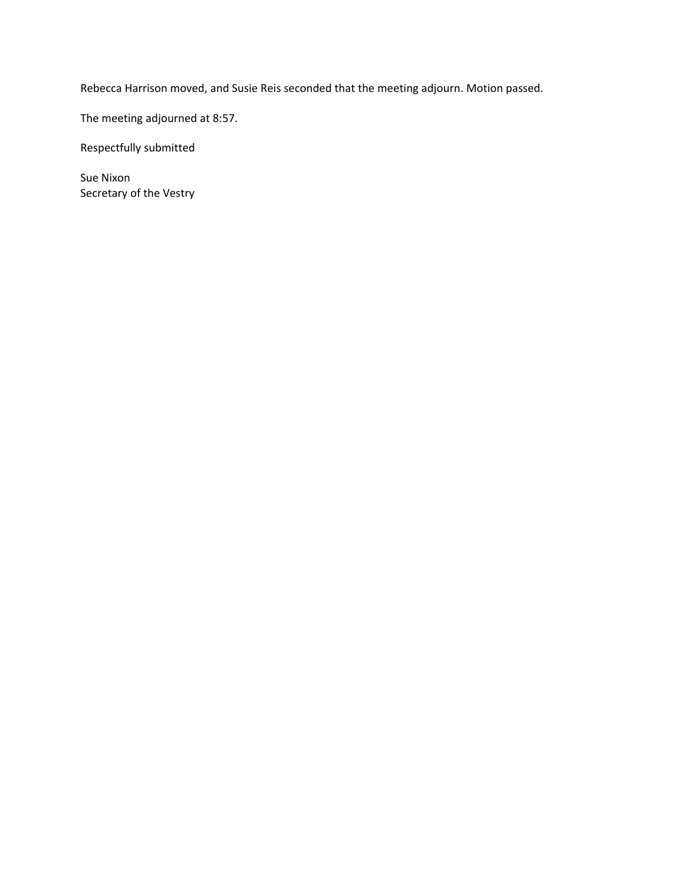Rebecca Harrison moved, and Susie Reis seconded that the meeting adjourn. Motion passed.

The meeting adjourned at 8:57.

Respectfully submitted

Sue Nixon Secretary of the Vestry